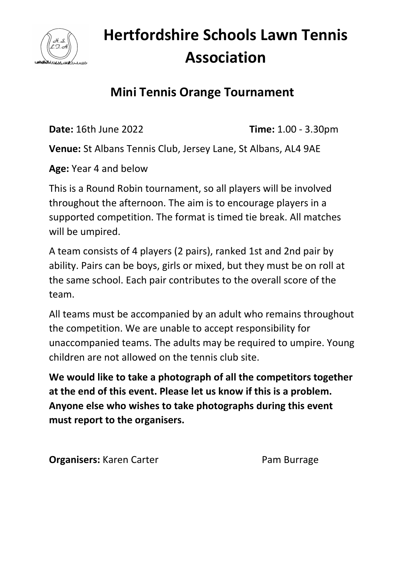

## **Hertfordshire Schools Lawn Tennis Association**

#### **Mini Tennis Orange Tournament**

**Date:** 16th June 2022 **Time:** 1.00 - 3.30pm

**Venue:** St Albans Tennis Club, Jersey Lane, St Albans, AL4 9AE

**Age:** Year 4 and below

This is a Round Robin tournament, so all players will be involved throughout the afternoon. The aim is to encourage players in a supported competition. The format is timed tie break. All matches will be umpired.

A team consists of 4 players (2 pairs), ranked 1st and 2nd pair by ability. Pairs can be boys, girls or mixed, but they must be on roll at the same school. Each pair contributes to the overall score of the team.

All teams must be accompanied by an adult who remains throughout the competition. We are unable to accept responsibility for unaccompanied teams. The adults may be required to umpire. Young children are not allowed on the tennis club site.

**We would like to take a photograph of all the competitors together at the end of this event. Please let us know if this is a problem. Anyone else who wishes to take photographs during this event must report to the organisers.** 

**Organisers:** Karen Carter **Pam Burrage**